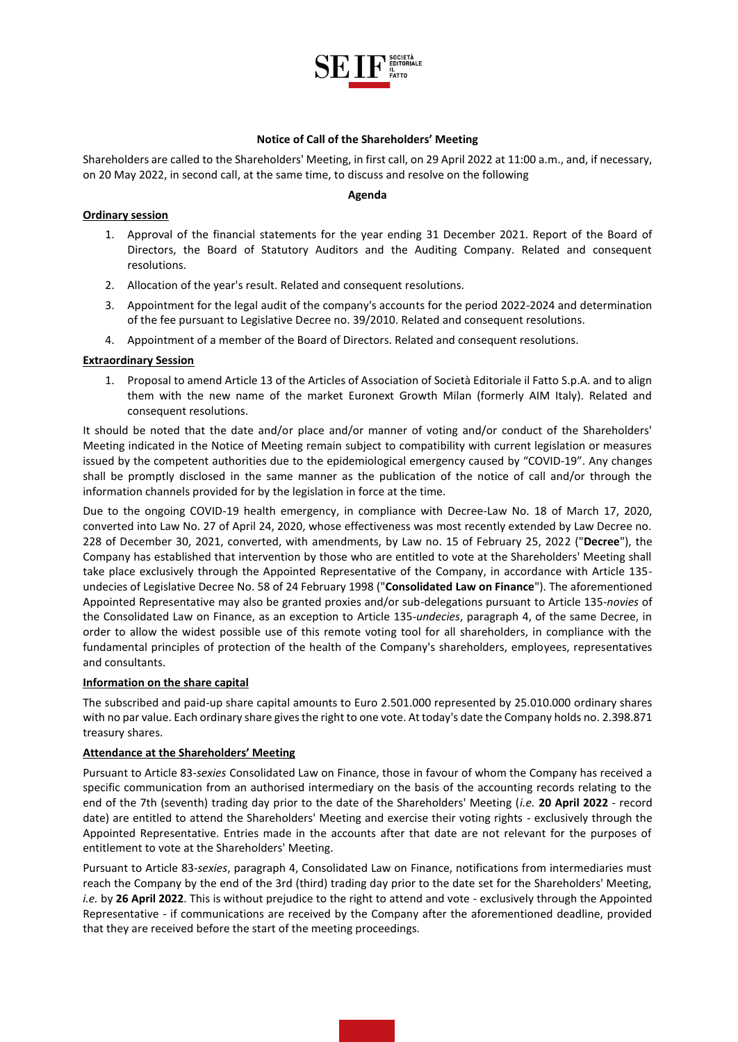

## **Notice of Call of the Shareholders' Meeting**

Shareholders are called to the Shareholders' Meeting, in first call, on 29 April 2022 at 11:00 a.m., and, if necessary, on 20 May 2022, in second call, at the same time, to discuss and resolve on the following

#### **Agenda**

# **Ordinary session**

- 1. Approval of the financial statements for the year ending 31 December 2021. Report of the Board of Directors, the Board of Statutory Auditors and the Auditing Company. Related and consequent resolutions.
- 2. Allocation of the year's result. Related and consequent resolutions.
- 3. Appointment for the legal audit of the company's accounts for the period 2022-2024 and determination of the fee pursuant to Legislative Decree no. 39/2010. Related and consequent resolutions.
- 4. Appointment of a member of the Board of Directors. Related and consequent resolutions.

# **Extraordinary Session**

1. Proposal to amend Article 13 of the Articles of Association of Società Editoriale il Fatto S.p.A. and to align them with the new name of the market Euronext Growth Milan (formerly AIM Italy). Related and consequent resolutions.

It should be noted that the date and/or place and/or manner of voting and/or conduct of the Shareholders' Meeting indicated in the Notice of Meeting remain subject to compatibility with current legislation or measures issued by the competent authorities due to the epidemiological emergency caused by "COVID-19". Any changes shall be promptly disclosed in the same manner as the publication of the notice of call and/or through the information channels provided for by the legislation in force at the time.

Due to the ongoing COVID-19 health emergency, in compliance with Decree-Law No. 18 of March 17, 2020, converted into Law No. 27 of April 24, 2020, whose effectiveness was most recently extended by Law Decree no. 228 of December 30, 2021, converted, with amendments, by Law no. 15 of February 25, 2022 ("**Decree**"), the Company has established that intervention by those who are entitled to vote at the Shareholders' Meeting shall take place exclusively through the Appointed Representative of the Company, in accordance with Article 135 undecies of Legislative Decree No. 58 of 24 February 1998 ("**Consolidated Law on Finance**"). The aforementioned Appointed Representative may also be granted proxies and/or sub-delegations pursuant to Article 135-*novies* of the Consolidated Law on Finance, as an exception to Article 135-*undecies*, paragraph 4, of the same Decree, in order to allow the widest possible use of this remote voting tool for all shareholders, in compliance with the fundamental principles of protection of the health of the Company's shareholders, employees, representatives and consultants.

## **Information on the share capital**

The subscribed and paid-up share capital amounts to Euro 2.501.000 represented by 25.010.000 ordinary shares with no par value. Each ordinary share gives the right to one vote. At today's date the Company holds no. 2.398.871 treasury shares.

## **Attendance at the Shareholders' Meeting**

Pursuant to Article 83-*sexies* Consolidated Law on Finance, those in favour of whom the Company has received a specific communication from an authorised intermediary on the basis of the accounting records relating to the end of the 7th (seventh) trading day prior to the date of the Shareholders' Meeting (*i.e.* **20 April 2022** - record date) are entitled to attend the Shareholders' Meeting and exercise their voting rights - exclusively through the Appointed Representative. Entries made in the accounts after that date are not relevant for the purposes of entitlement to vote at the Shareholders' Meeting.

Pursuant to Article 83-*sexies*, paragraph 4, Consolidated Law on Finance, notifications from intermediaries must reach the Company by the end of the 3rd (third) trading day prior to the date set for the Shareholders' Meeting, *i.e.* by **26 April 2022**. This is without prejudice to the right to attend and vote - exclusively through the Appointed Representative - if communications are received by the Company after the aforementioned deadline, provided that they are received before the start of the meeting proceedings.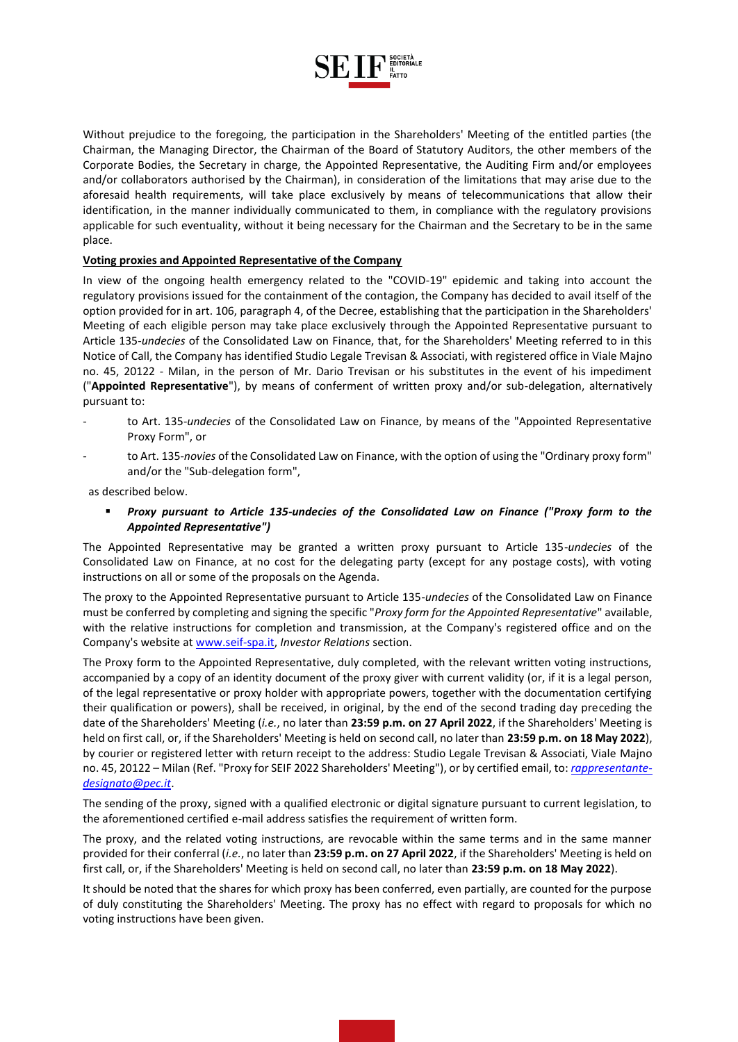

Without prejudice to the foregoing, the participation in the Shareholders' Meeting of the entitled parties (the Chairman, the Managing Director, the Chairman of the Board of Statutory Auditors, the other members of the Corporate Bodies, the Secretary in charge, the Appointed Representative, the Auditing Firm and/or employees and/or collaborators authorised by the Chairman), in consideration of the limitations that may arise due to the aforesaid health requirements, will take place exclusively by means of telecommunications that allow their identification, in the manner individually communicated to them, in compliance with the regulatory provisions applicable for such eventuality, without it being necessary for the Chairman and the Secretary to be in the same place.

## **Voting proxies and Appointed Representative of the Company**

In view of the ongoing health emergency related to the "COVID-19" epidemic and taking into account the regulatory provisions issued for the containment of the contagion, the Company has decided to avail itself of the option provided for in art. 106, paragraph 4, of the Decree, establishing that the participation in the Shareholders' Meeting of each eligible person may take place exclusively through the Appointed Representative pursuant to Article 135-*undecies* of the Consolidated Law on Finance, that, for the Shareholders' Meeting referred to in this Notice of Call, the Company has identified Studio Legale Trevisan & Associati, with registered office in Viale Majno no. 45, 20122 - Milan, in the person of Mr. Dario Trevisan or his substitutes in the event of his impediment ("**Appointed Representative**"), by means of conferment of written proxy and/or sub-delegation, alternatively pursuant to:

- to Art. 135-*undecies* of the Consolidated Law on Finance, by means of the "Appointed Representative Proxy Form", or
- to Art. 135-*novies* of the Consolidated Law on Finance, with the option of using the "Ordinary proxy form" and/or the "Sub-delegation form",

as described below.

 *Proxy pursuant to Article 135-undecies of the Consolidated Law on Finance ("Proxy form to the Appointed Representative")* 

The Appointed Representative may be granted a written proxy pursuant to Article 135-*undecies* of the Consolidated Law on Finance, at no cost for the delegating party (except for any postage costs), with voting instructions on all or some of the proposals on the Agenda.

The proxy to the Appointed Representative pursuant to Article 135-*undecies* of the Consolidated Law on Finance must be conferred by completing and signing the specific "*Proxy form for the Appointed Representative*" available, with the relative instructions for completion and transmission, at the Company's registered office and on the Company's website at [www.seif-spa.it,](http://www.seif-spa.it/) *Investor Relations* section.

The Proxy form to the Appointed Representative, duly completed, with the relevant written voting instructions, accompanied by a copy of an identity document of the proxy giver with current validity (or, if it is a legal person, of the legal representative or proxy holder with appropriate powers, together with the documentation certifying their qualification or powers), shall be received, in original, by the end of the second trading day preceding the date of the Shareholders' Meeting (*i.e.*, no later than **23:59 p.m. on 27 April 2022**, if the Shareholders' Meeting is held on first call, or, if the Shareholders' Meeting is held on second call, no later than **23:59 p.m. on 18 May 2022**), by courier or registered letter with return receipt to the address: Studio Legale Trevisan & Associati, Viale Majno no. 45, 20122 – Milan (Ref. "Proxy for SEIF 2022 Shareholders' Meeting"), or by certified email, to: *[rappresentante](mailto:rappresentante-designato@pec.it)[designato@pec.it](mailto:rappresentante-designato@pec.it)*.

The sending of the proxy, signed with a qualified electronic or digital signature pursuant to current legislation, to the aforementioned certified e-mail address satisfies the requirement of written form.

The proxy, and the related voting instructions, are revocable within the same terms and in the same manner provided for their conferral (*i.e.*, no later than **23:59 p.m. on 27 April 2022**, if the Shareholders' Meeting is held on first call, or, if the Shareholders' Meeting is held on second call, no later than **23:59 p.m. on 18 May 2022**).

It should be noted that the shares for which proxy has been conferred, even partially, are counted for the purpose of duly constituting the Shareholders' Meeting. The proxy has no effect with regard to proposals for which no voting instructions have been given.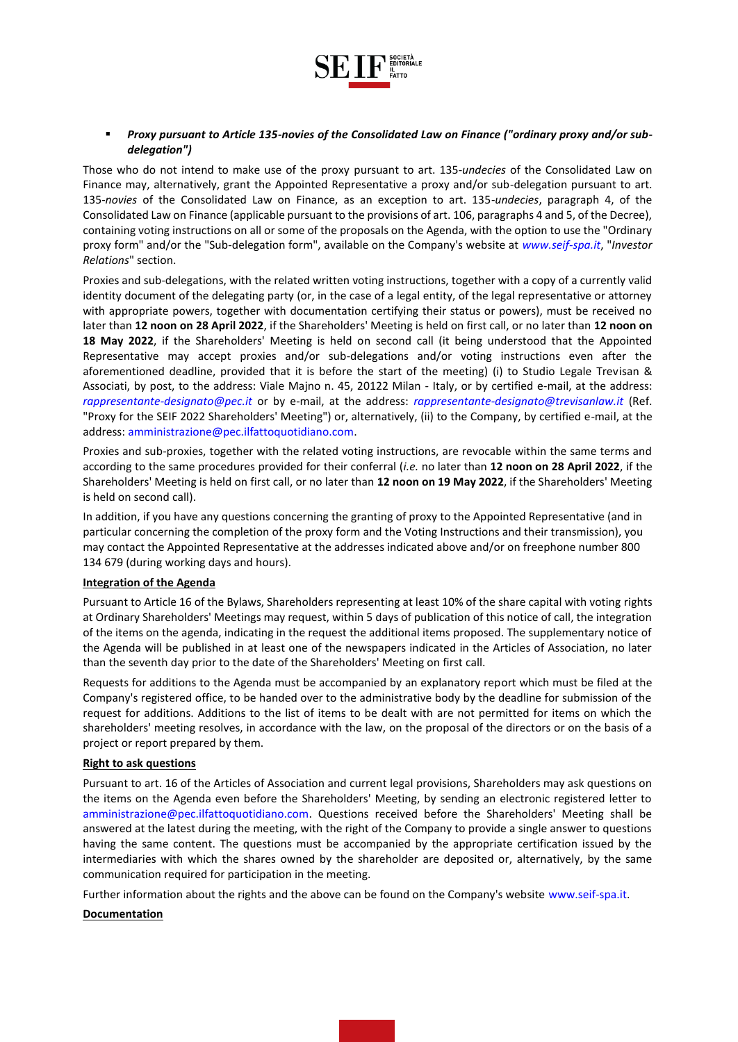

# *Proxy pursuant to Article 135-novies of the Consolidated Law on Finance ("ordinary proxy and/or subdelegation")*

Those who do not intend to make use of the proxy pursuant to art. 135-*undecies* of the Consolidated Law on Finance may, alternatively, grant the Appointed Representative a proxy and/or sub-delegation pursuant to art. 135-*novies* of the Consolidated Law on Finance, as an exception to art. 135-*undecies*, paragraph 4, of the Consolidated Law on Finance (applicable pursuant to the provisions of art. 106, paragraphs 4 and 5, of the Decree), containing voting instructions on all or some of the proposals on the Agenda, with the option to use the "Ordinary proxy form" and/or the "Sub-delegation form", available on the Company's website at *www.seif-spa.it*, "*Investor Relations*" section.

Proxies and sub-delegations, with the related written voting instructions, together with a copy of a currently valid identity document of the delegating party (or, in the case of a legal entity, of the legal representative or attorney with appropriate powers, together with documentation certifying their status or powers), must be received no later than **12 noon on 28 April 2022**, if the Shareholders' Meeting is held on first call, or no later than **12 noon on 18 May 2022**, if the Shareholders' Meeting is held on second call (it being understood that the Appointed Representative may accept proxies and/or sub-delegations and/or voting instructions even after the aforementioned deadline, provided that it is before the start of the meeting) (i) to Studio Legale Trevisan & Associati, by post, to the address: Viale Majno n. 45, 20122 Milan - Italy, or by certified e-mail, at the address: *rappresentante-designato@pec.it* or by e-mail, at the address: *rappresentante-designato@trevisanlaw.it* (Ref. "Proxy for the SEIF 2022 Shareholders' Meeting") or, alternatively, (ii) to the Company, by certified e-mail, at the address: amministrazione@pec.ilfattoquotidiano.com.

Proxies and sub-proxies, together with the related voting instructions, are revocable within the same terms and according to the same procedures provided for their conferral (*i.e.* no later than **12 noon on 28 April 2022**, if the Shareholders' Meeting is held on first call, or no later than **12 noon on 19 May 2022**, if the Shareholders' Meeting is held on second call).

In addition, if you have any questions concerning the granting of proxy to the Appointed Representative (and in particular concerning the completion of the proxy form and the Voting Instructions and their transmission), you may contact the Appointed Representative at the addresses indicated above and/or on freephone number 800 134 679 (during working days and hours).

#### **Integration of the Agenda**

Pursuant to Article 16 of the Bylaws, Shareholders representing at least 10% of the share capital with voting rights at Ordinary Shareholders' Meetings may request, within 5 days of publication of this notice of call, the integration of the items on the agenda, indicating in the request the additional items proposed. The supplementary notice of the Agenda will be published in at least one of the newspapers indicated in the Articles of Association, no later than the seventh day prior to the date of the Shareholders' Meeting on first call.

Requests for additions to the Agenda must be accompanied by an explanatory report which must be filed at the Company's registered office, to be handed over to the administrative body by the deadline for submission of the request for additions. Additions to the list of items to be dealt with are not permitted for items on which the shareholders' meeting resolves, in accordance with the law, on the proposal of the directors or on the basis of a project or report prepared by them.

## **Right to ask questions**

Pursuant to art. 16 of the Articles of Association and current legal provisions, Shareholders may ask questions on the items on the Agenda even before the Shareholders' Meeting, by sending an electronic registered letter to amministrazione@pec.ilfattoquotidiano.com. Questions received before the Shareholders' Meeting shall be answered at the latest during the meeting, with the right of the Company to provide a single answer to questions having the same content. The questions must be accompanied by the appropriate certification issued by the intermediaries with which the shares owned by the shareholder are deposited or, alternatively, by the same communication required for participation in the meeting.

Further information about the rights and the above can be found on the Company's website www.seif-spa.it.

#### **Documentation**